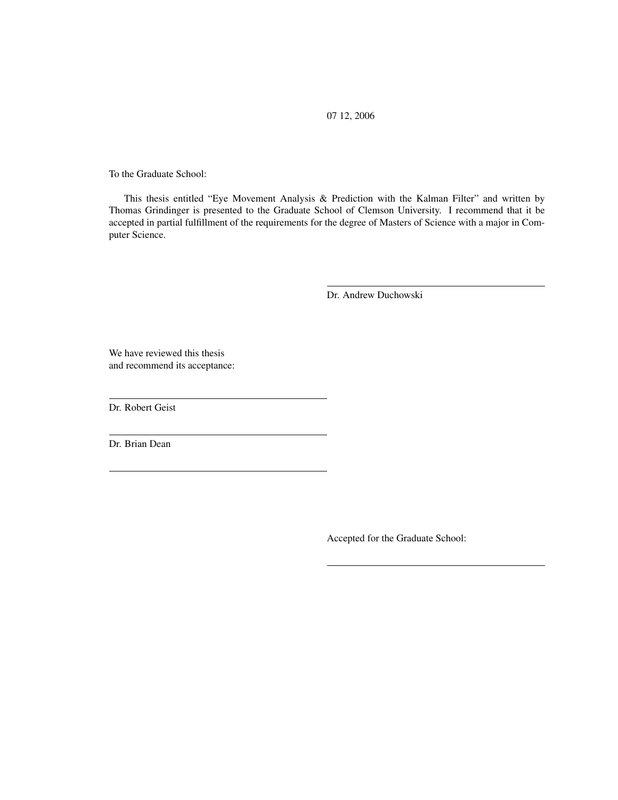07 12, 2006

To the Graduate School:

This thesis entitled "Eye Movement Analysis & Prediction with the Kalman Filter" and written by Thomas Grindinger is presented to the Graduate School of Clemson University. I recommend that it be accepted in partial fulfillment of the requirements for the degree of Masters of Science with a major in Computer Science.

Dr. Andrew Duchowski

We have reviewed this thesis and recommend its acceptance:

Dr. Robert Geist

<span id="page-0-0"></span>Dr. Brian Dean

Accepted for the Graduate School: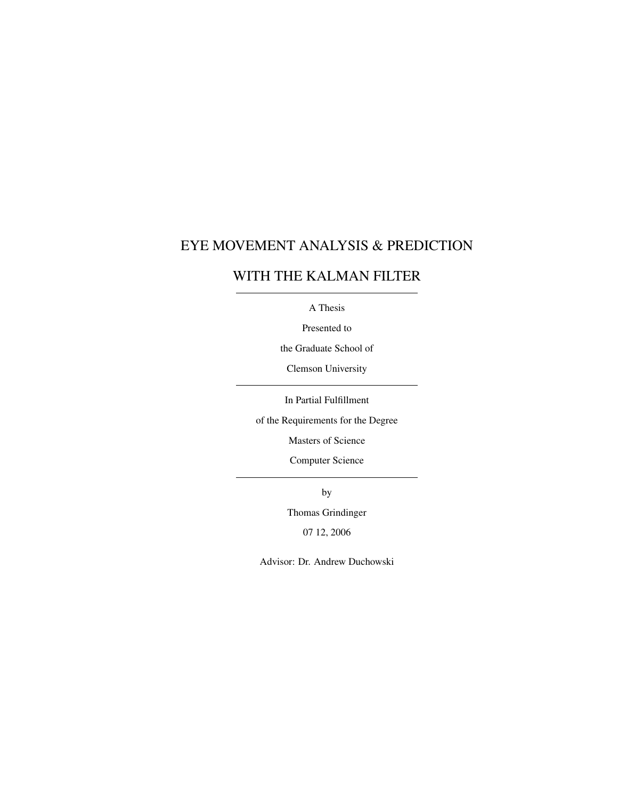#### EYE MOVEMENT ANALYSIS & PREDICTION

#### WITH THE KALMAN FILTER

A Thesis

Presented to

the Graduate School of

Clemson University

In Partial Fulfillment

of the Requirements for the Degree

Masters of Science

Computer Science

by

Thomas Grindinger

07 12, 2006

Advisor: Dr. Andrew Duchowski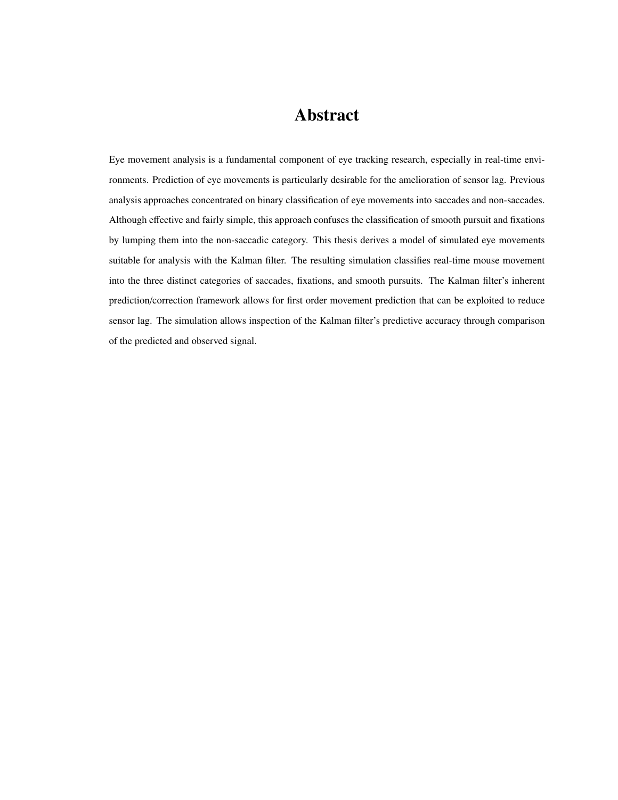### Abstract

<span id="page-2-0"></span>Eye movement analysis is a fundamental component of eye tracking research, especially in real-time environments. Prediction of eye movements is particularly desirable for the amelioration of sensor lag. Previous analysis approaches concentrated on binary classification of eye movements into saccades and non-saccades. Although effective and fairly simple, this approach confuses the classification of smooth pursuit and fixations by lumping them into the non-saccadic category. This thesis derives a model of simulated eye movements suitable for analysis with the Kalman filter. The resulting simulation classifies real-time mouse movement into the three distinct categories of saccades, fixations, and smooth pursuits. The Kalman filter's inherent prediction/correction framework allows for first order movement prediction that can be exploited to reduce sensor lag. The simulation allows inspection of the Kalman filter's predictive accuracy through comparison of the predicted and observed signal.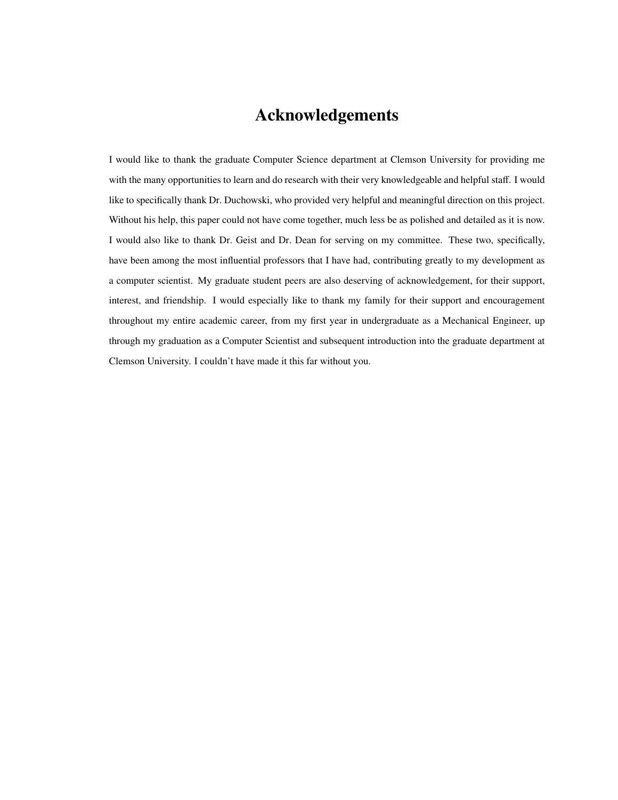## Acknowledgements

<span id="page-3-0"></span>I would like to thank the graduate Computer Science department at Clemson University for providing me with the many opportunities to learn and do research with their very knowledgeable and helpful staff. I would like to specifically thank Dr. Duchowski, who provided very helpful and meaningful direction on this project. Without his help, this paper could not have come together, much less be as polished and detailed as it is now. I would also like to thank Dr. Geist and Dr. Dean for serving on my committee. These two, specifically, have been among the most influential professors that I have had, contributing greatly to my development as a computer scientist. My graduate student peers are also deserving of acknowledgement, for their support, interest, and friendship. I would especially like to thank my family for their support and encouragement throughout my entire academic career, from my first year in undergraduate as a Mechanical Engineer, up through my graduation as a Computer Scientist and subsequent introduction into the graduate department at Clemson University. I couldn't have made it this far without you.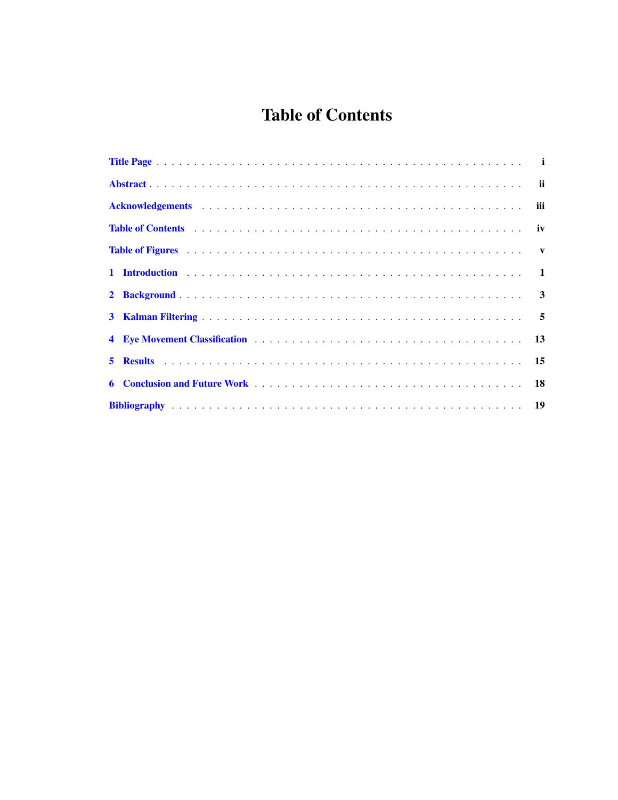# **Table of Contents**

<span id="page-4-0"></span>

| Table of Contents (a) and a series of the content of the content of the content of the content of the content of the content of the content of the content of the content of the content of the content of the content of the |  |
|-------------------------------------------------------------------------------------------------------------------------------------------------------------------------------------------------------------------------------|--|
|                                                                                                                                                                                                                               |  |
|                                                                                                                                                                                                                               |  |
|                                                                                                                                                                                                                               |  |
|                                                                                                                                                                                                                               |  |
|                                                                                                                                                                                                                               |  |
|                                                                                                                                                                                                                               |  |
|                                                                                                                                                                                                                               |  |
|                                                                                                                                                                                                                               |  |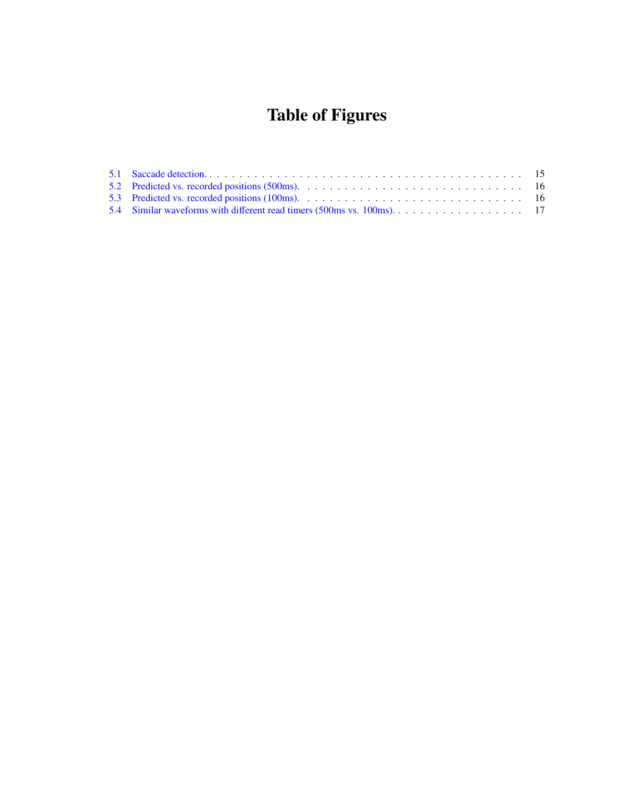# Table of Figures

<span id="page-5-0"></span>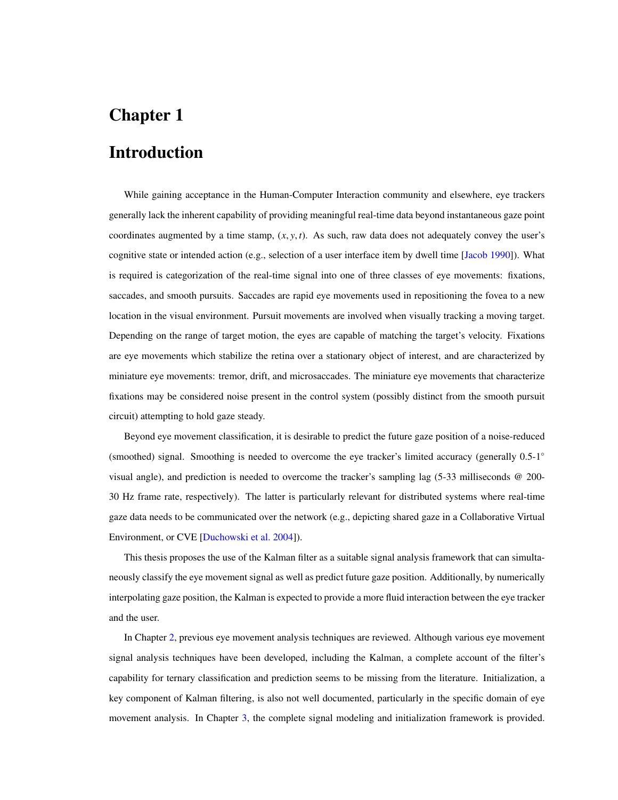#### <span id="page-6-0"></span>Introduction

While gaining acceptance in the Human-Computer Interaction community and elsewhere, eye trackers generally lack the inherent capability of providing meaningful real-time data beyond instantaneous gaze point coordinates augmented by a time stamp,  $(x, y, t)$ . As such, raw data does not adequately convey the user's cognitive state or intended action (e.g., selection of a user interface item by dwell time [\[Jacob 1990\]](#page-24-1)). What is required is categorization of the real-time signal into one of three classes of eye movements: fixations, saccades, and smooth pursuits. Saccades are rapid eye movements used in repositioning the fovea to a new location in the visual environment. Pursuit movements are involved when visually tracking a moving target. Depending on the range of target motion, the eyes are capable of matching the target's velocity. Fixations are eye movements which stabilize the retina over a stationary object of interest, and are characterized by miniature eye movements: tremor, drift, and microsaccades. The miniature eye movements that characterize fixations may be considered noise present in the control system (possibly distinct from the smooth pursuit circuit) attempting to hold gaze steady.

Beyond eye movement classification, it is desirable to predict the future gaze position of a noise-reduced (smoothed) signal. Smoothing is needed to overcome the eye tracker's limited accuracy (generally 0.5-1◦ visual angle), and prediction is needed to overcome the tracker's sampling lag (5-33 milliseconds @ 200- 30 Hz frame rate, respectively). The latter is particularly relevant for distributed systems where real-time gaze data needs to be communicated over the network (e.g., depicting shared gaze in a Collaborative Virtual Environment, or CVE [\[Duchowski et al. 2004\]](#page-24-2)).

This thesis proposes the use of the Kalman filter as a suitable signal analysis framework that can simultaneously classify the eye movement signal as well as predict future gaze position. Additionally, by numerically interpolating gaze position, the Kalman is expected to provide a more fluid interaction between the eye tracker and the user.

In Chapter [2,](#page-8-0) previous eye movement analysis techniques are reviewed. Although various eye movement signal analysis techniques have been developed, including the Kalman, a complete account of the filter's capability for ternary classification and prediction seems to be missing from the literature. Initialization, a key component of Kalman filtering, is also not well documented, particularly in the specific domain of eye movement analysis. In Chapter [3,](#page-10-0) the complete signal modeling and initialization framework is provided.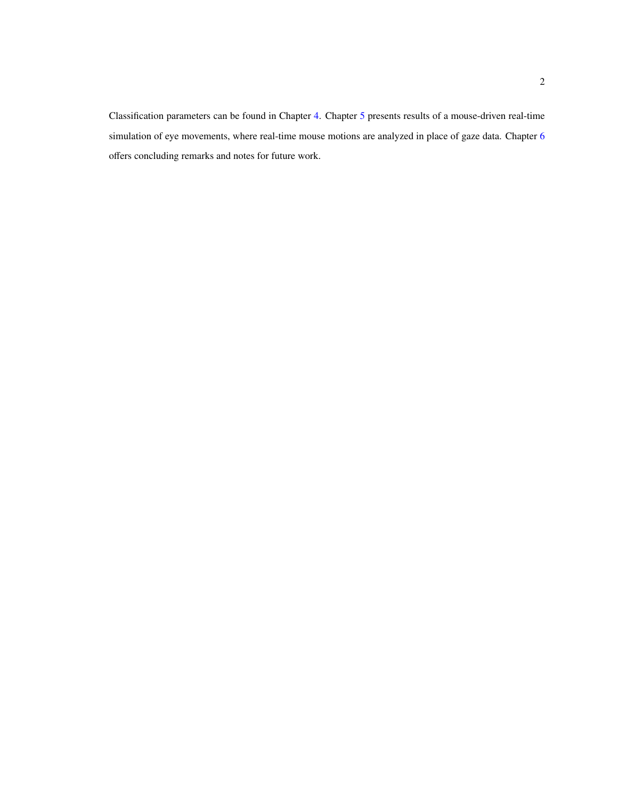Classification parameters can be found in Chapter [4.](#page-18-0) Chapter [5](#page-20-0) presents results of a mouse-driven real-time simulation of eye movements, where real-time mouse motions are analyzed in place of gaze data. Chapter [6](#page-23-0) offers concluding remarks and notes for future work.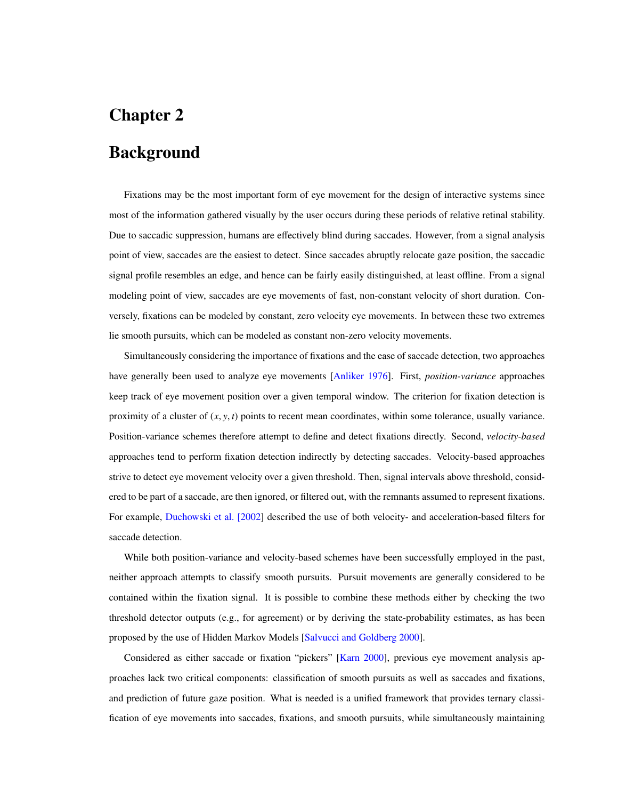#### <span id="page-8-0"></span>Background

Fixations may be the most important form of eye movement for the design of interactive systems since most of the information gathered visually by the user occurs during these periods of relative retinal stability. Due to saccadic suppression, humans are effectively blind during saccades. However, from a signal analysis point of view, saccades are the easiest to detect. Since saccades abruptly relocate gaze position, the saccadic signal profile resembles an edge, and hence can be fairly easily distinguished, at least offline. From a signal modeling point of view, saccades are eye movements of fast, non-constant velocity of short duration. Conversely, fixations can be modeled by constant, zero velocity eye movements. In between these two extremes lie smooth pursuits, which can be modeled as constant non-zero velocity movements.

Simultaneously considering the importance of fixations and the ease of saccade detection, two approaches have generally been used to analyze eye movements [\[Anliker 1976\]](#page-24-3). First, *position-variance* approaches keep track of eye movement position over a given temporal window. The criterion for fixation detection is proximity of a cluster of  $(x, y, t)$  points to recent mean coordinates, within some tolerance, usually variance. Position-variance schemes therefore attempt to define and detect fixations directly. Second, *velocity-based* approaches tend to perform fixation detection indirectly by detecting saccades. Velocity-based approaches strive to detect eye movement velocity over a given threshold. Then, signal intervals above threshold, considered to be part of a saccade, are then ignored, or filtered out, with the remnants assumed to represent fixations. For example, [Duchowski et al. \[2002\]](#page-24-4) described the use of both velocity- and acceleration-based filters for saccade detection.

While both position-variance and velocity-based schemes have been successfully employed in the past, neither approach attempts to classify smooth pursuits. Pursuit movements are generally considered to be contained within the fixation signal. It is possible to combine these methods either by checking the two threshold detector outputs (e.g., for agreement) or by deriving the state-probability estimates, as has been proposed by the use of Hidden Markov Models [\[Salvucci and Goldberg 2000\]](#page-24-5).

Considered as either saccade or fixation "pickers" [\[Karn 2000\]](#page-24-6), previous eye movement analysis approaches lack two critical components: classification of smooth pursuits as well as saccades and fixations, and prediction of future gaze position. What is needed is a unified framework that provides ternary classification of eye movements into saccades, fixations, and smooth pursuits, while simultaneously maintaining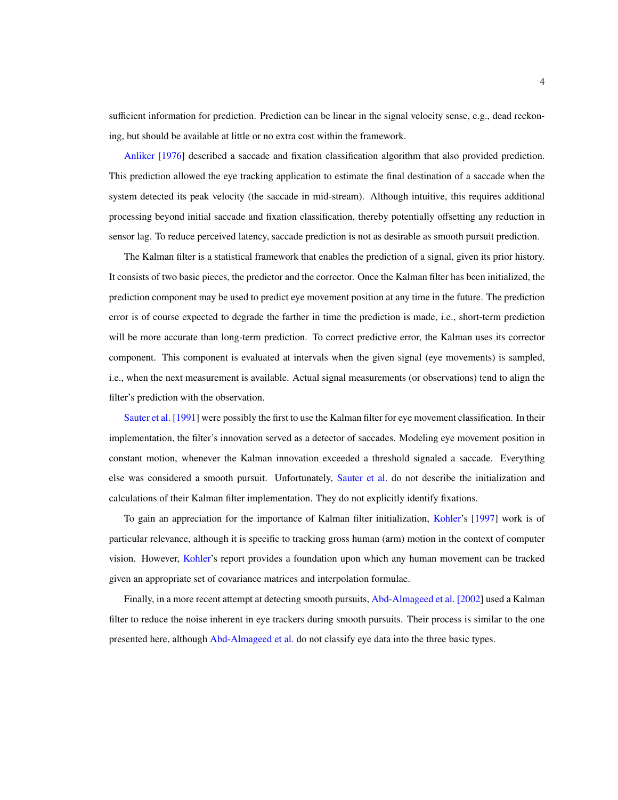sufficient information for prediction. Prediction can be linear in the signal velocity sense, e.g., dead reckoning, but should be available at little or no extra cost within the framework.

[Anliker \[1976\]](#page-24-3) described a saccade and fixation classification algorithm that also provided prediction. This prediction allowed the eye tracking application to estimate the final destination of a saccade when the system detected its peak velocity (the saccade in mid-stream). Although intuitive, this requires additional processing beyond initial saccade and fixation classification, thereby potentially offsetting any reduction in sensor lag. To reduce perceived latency, saccade prediction is not as desirable as smooth pursuit prediction.

The Kalman filter is a statistical framework that enables the prediction of a signal, given its prior history. It consists of two basic pieces, the predictor and the corrector. Once the Kalman filter has been initialized, the prediction component may be used to predict eye movement position at any time in the future. The prediction error is of course expected to degrade the farther in time the prediction is made, i.e., short-term prediction will be more accurate than long-term prediction. To correct predictive error, the Kalman uses its corrector component. This component is evaluated at intervals when the given signal (eye movements) is sampled, i.e., when the next measurement is available. Actual signal measurements (or observations) tend to align the filter's prediction with the observation.

[Sauter et al. \[1991\]](#page-24-7) were possibly the first to use the Kalman filter for eye movement classification. In their implementation, the filter's innovation served as a detector of saccades. Modeling eye movement position in constant motion, whenever the Kalman innovation exceeded a threshold signaled a saccade. Everything else was considered a smooth pursuit. Unfortunately, [Sauter et al.](#page-24-7) do not describe the initialization and calculations of their Kalman filter implementation. They do not explicitly identify fixations.

To gain an appreciation for the importance of Kalman filter initialization, [Kohler'](#page-24-8)s [\[1997\]](#page-24-8) work is of particular relevance, although it is specific to tracking gross human (arm) motion in the context of computer vision. However, [Kohler'](#page-24-8)s report provides a foundation upon which any human movement can be tracked given an appropriate set of covariance matrices and interpolation formulae.

Finally, in a more recent attempt at detecting smooth pursuits, [Abd-Almageed et al. \[2002\]](#page-24-9) used a Kalman filter to reduce the noise inherent in eye trackers during smooth pursuits. Their process is similar to the one presented here, although [Abd-Almageed et al.](#page-24-9) do not classify eye data into the three basic types.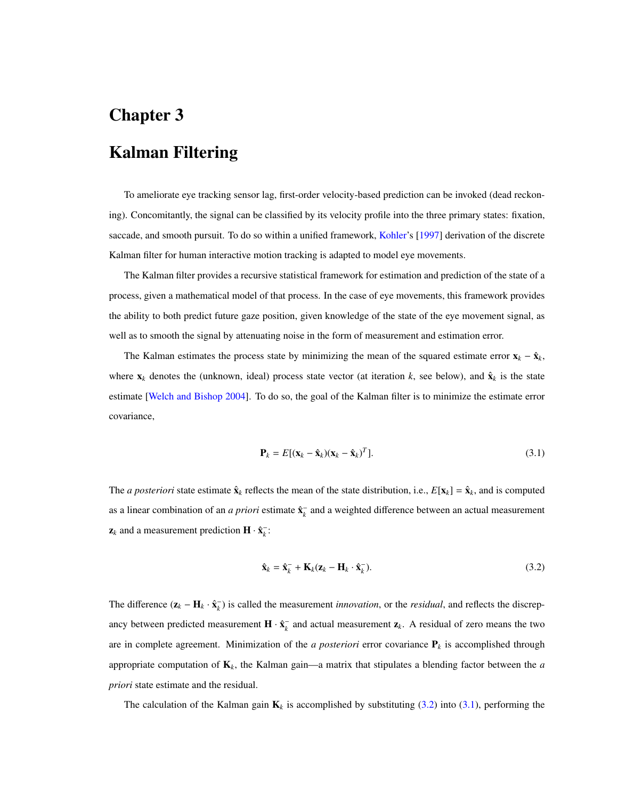## <span id="page-10-0"></span>Kalman Filtering

To ameliorate eye tracking sensor lag, first-order velocity-based prediction can be invoked (dead reckoning). Concomitantly, the signal can be classified by its velocity profile into the three primary states: fixation, saccade, and smooth pursuit. To do so within a unified framework, [Kohler'](#page-24-8)s [\[1997\]](#page-24-8) derivation of the discrete Kalman filter for human interactive motion tracking is adapted to model eye movements.

The Kalman filter provides a recursive statistical framework for estimation and prediction of the state of a process, given a mathematical model of that process. In the case of eye movements, this framework provides the ability to both predict future gaze position, given knowledge of the state of the eye movement signal, as well as to smooth the signal by attenuating noise in the form of measurement and estimation error.

The Kalman estimates the process state by minimizing the mean of the squared estimate error  $\mathbf{x}_k - \hat{\mathbf{x}}_k$ , where  $x_k$  denotes the (unknown, ideal) process state vector (at iteration  $k$ , see below), and  $\hat{x}_k$  is the state estimate [\[Welch and Bishop 2004\]](#page-24-10). To do so, the goal of the Kalman filter is to minimize the estimate error covariance,

<span id="page-10-2"></span>
$$
\mathbf{P}_k = E[(\mathbf{x}_k - \hat{\mathbf{x}}_k)(\mathbf{x}_k - \hat{\mathbf{x}}_k)^T].
$$
\n(3.1)

The *a posteriori* state estimate  $\hat{\mathbf{x}}_k$  reflects the mean of the state distribution, i.e.,  $E[\mathbf{x}_k] = \hat{\mathbf{x}}_k$ , and is computed as a linear combination of an *a priori* estimate  $\hat{\mathbf{x}}_k^-$  and a weighted difference between an actual measurement  $z_k$  and a measurement prediction  $\mathbf{H} \cdot \hat{\mathbf{x}}_k^-$ :

<span id="page-10-1"></span>
$$
\hat{\mathbf{x}}_k = \hat{\mathbf{x}}_k^- + \mathbf{K}_k (\mathbf{z}_k - \mathbf{H}_k \cdot \hat{\mathbf{x}}_k^-). \tag{3.2}
$$

The difference  $(\mathbf{z}_k - \mathbf{H}_k \cdot \hat{\mathbf{x}}_k^-)$  is called the measurement *innovation*, or the *residual*, and reflects the discrepancy between predicted measurement  $\mathbf{H} \cdot \hat{\mathbf{x}}_k^-$  and actual measurement  $\mathbf{z}_k$ . A residual of zero means the two are in complete agreement. Minimization of the *a posteriori* error covariance  $P_k$  is accomplished through appropriate computation of  $K_k$ , the Kalman gain—a matrix that stipulates a blending factor between the *a priori* state estimate and the residual.

The calculation of the Kalman gain  $\mathbf{K}_k$  is accomplished by substituting [\(3.2\)](#page-10-1) into [\(3.1\)](#page-10-2), performing the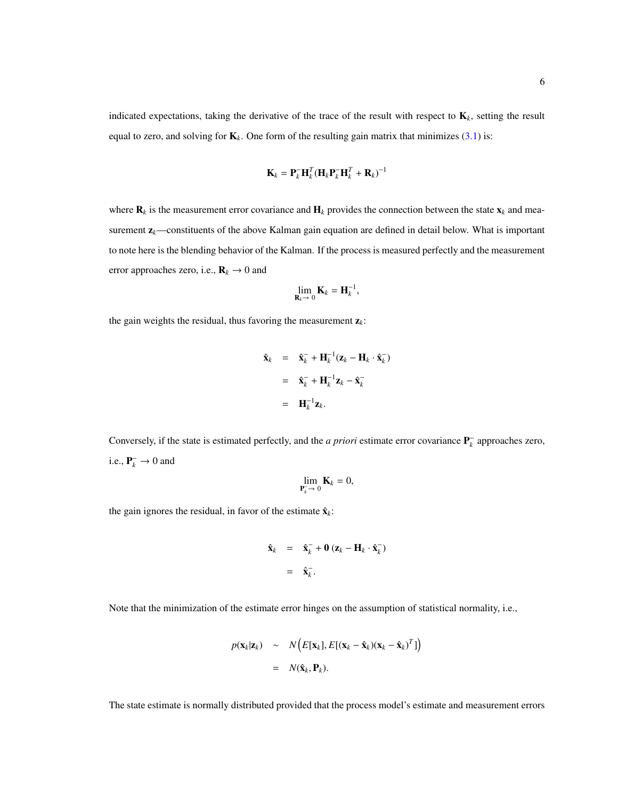indicated expectations, taking the derivative of the trace of the result with respect to K*k*, setting the result equal to zero, and solving for  $\mathbf{K}_k$ . One form of the resulting gain matrix that minimizes [\(3.1\)](#page-10-2) is:

$$
\mathbf{K}_k = \mathbf{P}_k^- \mathbf{H}_k^T (\mathbf{H}_k \mathbf{P}_k^- \mathbf{H}_k^T + \mathbf{R}_k)^{-1}
$$

where  $\mathbf{R}_k$  is the measurement error covariance and  $\mathbf{H}_k$  provides the connection between the state  $\mathbf{x}_k$  and measurement  $z_k$ —constituents of the above Kalman gain equation are defined in detail below. What is important to note here is the blending behavior of the Kalman. If the process is measured perfectly and the measurement error approaches zero, i.e.,  $\mathbf{R}_k \rightarrow 0$  and

$$
\lim_{\mathbf{R}_k\to 0} \mathbf{K}_k = \mathbf{H}_k^{-1},
$$

the gain weights the residual, thus favoring the measurement  $z_k$ :

$$
\hat{\mathbf{x}}_k = \hat{\mathbf{x}}_k^- + \mathbf{H}_k^{-1}(\mathbf{z}_k - \mathbf{H}_k \cdot \hat{\mathbf{x}}_k^-)
$$
\n
$$
= \hat{\mathbf{x}}_k^- + \mathbf{H}_k^{-1} \mathbf{z}_k - \hat{\mathbf{x}}_k^-
$$
\n
$$
= \mathbf{H}_k^{-1} \mathbf{z}_k.
$$

Conversely, if the state is estimated perfectly, and the *a priori* estimate error covariance  $P_k^-$  approaches zero, i.e.,  $P_k^- \rightarrow 0$  and

$$
\lim_{\mathbf{P}_k^- \to 0} \mathbf{K}_k = 0,
$$

the gain ignores the residual, in favor of the estimate  $\hat{\mathbf{x}}_k$ :

$$
\hat{\mathbf{x}}_k = \hat{\mathbf{x}}_k^- + \mathbf{0} (\mathbf{z}_k - \mathbf{H}_k \cdot \hat{\mathbf{x}}_k^-)
$$
  
=  $\hat{\mathbf{x}}_k^-$ .

Note that the minimization of the estimate error hinges on the assumption of statistical normality, i.e.,

$$
p(\mathbf{x}_k|\mathbf{z}_k) \sim N\Big(E[\mathbf{x}_k], E[(\mathbf{x}_k - \hat{\mathbf{x}}_k)(\mathbf{x}_k - \hat{\mathbf{x}}_k)^T]\Big)
$$
  
=  $N(\hat{\mathbf{x}}_k, \mathbf{P}_k).$ 

The state estimate is normally distributed provided that the process model's estimate and measurement errors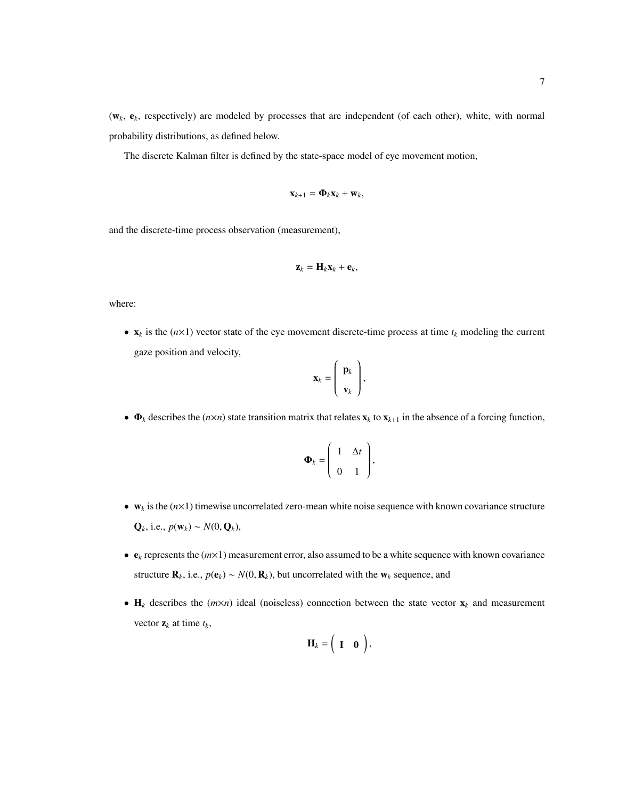(w*k*, e*k*, respectively) are modeled by processes that are independent (of each other), white, with normal probability distributions, as defined below.

The discrete Kalman filter is defined by the state-space model of eye movement motion,

$$
\mathbf{x}_{k+1} = \mathbf{\Phi}_k \mathbf{x}_k + \mathbf{w}_k,
$$

and the discrete-time process observation (measurement),

$$
\mathbf{z}_k = \mathbf{H}_k \mathbf{x}_k + \mathbf{e}_k,
$$

where:

•  $\mathbf{x}_k$  is the ( $n \times 1$ ) vector state of the eye movement discrete-time process at time  $t_k$  modeling the current gaze position and velocity,

$$
\mathbf{x}_k = \left(\begin{array}{c} \mathbf{p}_k \\ \mathbf{v}_k \end{array}\right),
$$

•  $\Phi_k$  describes the ( $n \times n$ ) state transition matrix that relates  $\mathbf{x}_k$  to  $\mathbf{x}_{k+1}$  in the absence of a forcing function,

$$
\mathbf{\Phi}_k = \left( \begin{array}{cc} 1 & \Delta t \\ 0 & 1 \end{array} \right),
$$

- $w_k$  is the  $(n \times 1)$  timewise uncorrelated zero-mean white noise sequence with known covariance structure **, i.e.,**  $p(**w**<sub>k</sub>)$  **∼**  $N(0, **Q**<sub>k</sub>)$ **,**
- e*<sup>k</sup>* represents the (*m*×1) measurement error, also assumed to be a white sequence with known covariance structure  $\mathbf{R}_k$ , i.e.,  $p(\mathbf{e}_k) \sim N(0, \mathbf{R}_k)$ , but uncorrelated with the  $\mathbf{w}_k$  sequence, and
- $H_k$  describes the  $(m \times n)$  ideal (noiseless) connection between the state vector  $x_k$  and measurement vector  $z_k$  at time  $t_k$ ,

$$
\mathbf{H}_k = \begin{pmatrix} \mathbf{I} & \mathbf{0} \end{pmatrix},
$$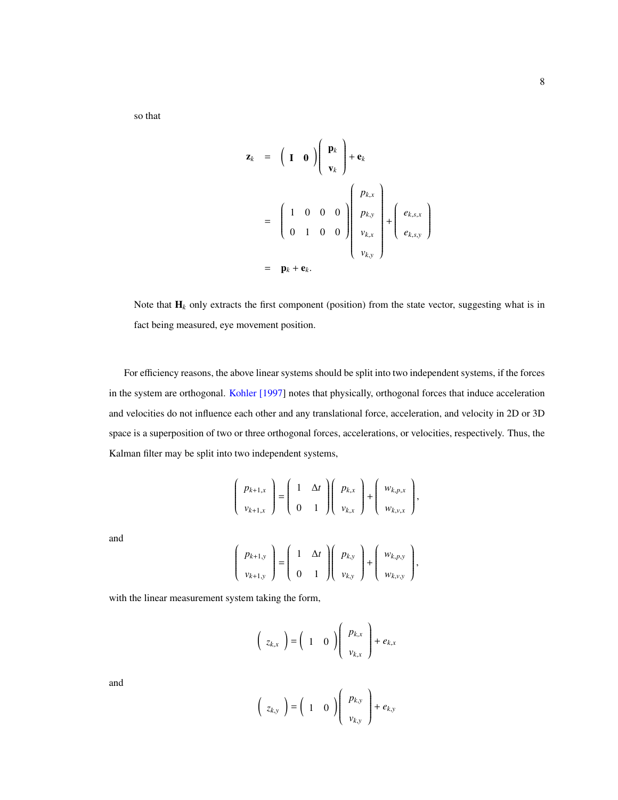so that

$$
\mathbf{z}_{k} = \begin{pmatrix} \mathbf{I} & \mathbf{0} \end{pmatrix} \begin{pmatrix} \mathbf{p}_{k} \\ \mathbf{v}_{k} \end{pmatrix} + \mathbf{e}_{k}
$$

$$
= \begin{pmatrix} 1 & 0 & 0 & 0 \\ 0 & 1 & 0 & 0 \end{pmatrix} \begin{pmatrix} p_{k,x} \\ p_{k,y} \\ v_{k,x} \\ v_{k,y} \end{pmatrix} + \begin{pmatrix} e_{k,s,x} \\ e_{k,s,y} \end{pmatrix}
$$

$$
= \mathbf{p}_{k} + \mathbf{e}_{k}.
$$

Note that  $H_k$  only extracts the first component (position) from the state vector, suggesting what is in fact being measured, eye movement position.

For efficiency reasons, the above linear systems should be split into two independent systems, if the forces in the system are orthogonal. [Kohler \[1997\]](#page-24-8) notes that physically, orthogonal forces that induce acceleration and velocities do not influence each other and any translational force, acceleration, and velocity in 2D or 3D space is a superposition of two or three orthogonal forces, accelerations, or velocities, respectively. Thus, the Kalman filter may be split into two independent systems,

$$
\left(\begin{array}{c}p_{k+1,x} \\ v_{k+1,x}\end{array}\right)=\left(\begin{array}{cc}1 & \Delta t \\ 0 & 1\end{array}\right)\left(\begin{array}{c}p_{k,x} \\ v_{k,x}\end{array}\right)+\left(\begin{array}{c}w_{k,p,x} \\ w_{k,y,x}\end{array}\right),
$$

and

$$
\left(\begin{array}{c}p_{k+1,y} \\ v_{k+1,y}\end{array}\right)=\left(\begin{array}{cc}1 & \Delta t \\ 0 & 1\end{array}\right)\left(\begin{array}{c}p_{k,y} \\ v_{k,y}\end{array}\right)+\left(\begin{array}{c}w_{k,p,y} \\ w_{k,y,y}\end{array}\right),
$$

with the linear measurement system taking the form,

$$
\left(\begin{array}{c}z_{k,x}\end{array}\right)=\left(\begin{array}{cc}1&0\end{array}\right)\left(\begin{array}{c}p_{k,x}\\v_{k,x}\end{array}\right)+e_{k,x}
$$

and

$$
\left(\begin{array}{c}z_{k,y}\end{array}\right)=\left(\begin{array}{cc}1&0\end{array}\right)\left(\begin{array}{c}p_{k,y}\\v_{k,y}\end{array}\right)+e_{k,y}
$$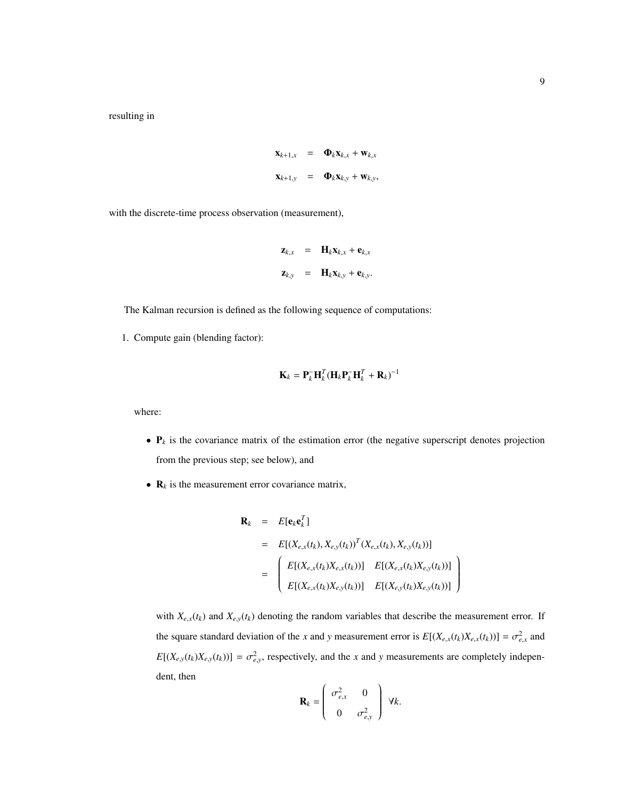$$
\mathbf{x}_{k+1,x} = \mathbf{\Phi}_k \mathbf{x}_{k,x} + \mathbf{w}_{k,x}
$$

$$
\mathbf{x}_{k+1,y} = \mathbf{\Phi}_k \mathbf{x}_{k,y} + \mathbf{w}_{k,y},
$$

with the discrete-time process observation (measurement),

$$
\mathbf{z}_{k,x} = \mathbf{H}_k \mathbf{x}_{k,x} + \mathbf{e}_{k,x}
$$

$$
\mathbf{z}_{k,y} = \mathbf{H}_k \mathbf{x}_{k,y} + \mathbf{e}_{k,y}.
$$

The Kalman recursion is defined as the following sequence of computations:

1. Compute gain (blending factor):

$$
\mathbf{K}_k = \mathbf{P}_k^- \mathbf{H}_k^T (\mathbf{H}_k \mathbf{P}_k^- \mathbf{H}_k^T + \mathbf{R}_k)^{-1}
$$

where:

- $P_k$  is the covariance matrix of the estimation error (the negative superscript denotes projection from the previous step; see below), and
- **is the measurement error covariance matrix,**

$$
\mathbf{R}_{k} = E[\mathbf{e}_{k} \mathbf{e}_{k}^{T}]
$$
  
\n
$$
= E[(X_{e,x}(t_{k}), X_{e,y}(t_{k}))^{T} (X_{e,x}(t_{k}), X_{e,y}(t_{k}))]
$$
  
\n
$$
= \begin{pmatrix} E[(X_{e,x}(t_{k})X_{e,x}(t_{k}))] & E[(X_{e,x}(t_{k})X_{e,y}(t_{k}))] \\ E[(X_{e,x}(t_{k})X_{e,y}(t_{k}))] & E[(X_{e,y}(t_{k})X_{e,y}(t_{k}))] \end{pmatrix}
$$

with  $X_{e,x}(t_k)$  and  $X_{e,y}(t_k)$  denoting the random variables that describe the measurement error. If the square standard deviation of the *x* and *y* measurement error is  $E[(X_{e,x}(t_k)X_{e,x}(t_k))] = \sigma_{e,x}^2$  and  $E[(X_{e,y}(t_k)X_{e,y}(t_k))] = \sigma_{e,y}^2$ , respectively, and the *x* and *y* measurements are completely independent, then  $\sqrt{2}$  $\Delta$ 

$$
\mathbf{R}_k = \begin{pmatrix} \sigma_{e,x}^2 & 0 \\ 0 & \sigma_{e,y}^2 \end{pmatrix} \ \forall k.
$$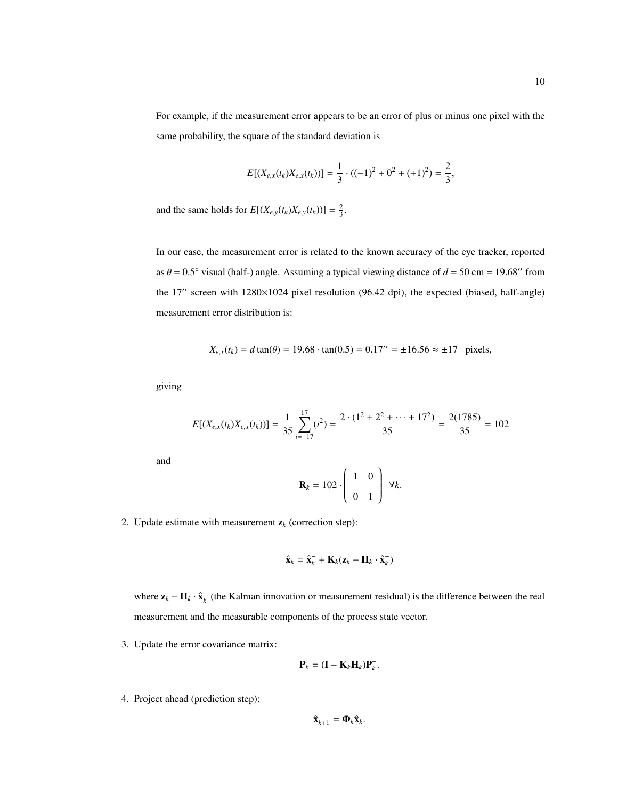For example, if the measurement error appears to be an error of plus or minus one pixel with the same probability, the square of the standard deviation is

$$
E[(X_{e,x}(t_k)X_{e,x}(t_k))] = \frac{1}{3} \cdot ((-1)^2 + 0^2 + (+1)^2) = \frac{2}{3},
$$

and the same holds for  $E[(X_{e,y}(t_k)X_{e,y}(t_k))] = \frac{2}{3}$ .

In our case, the measurement error is related to the known accuracy of the eye tracker, reported as  $\theta = 0.5^{\circ}$  visual (half-) angle. Assuming a typical viewing distance of  $d = 50$  cm = 19.68<sup>o</sup> from the 17" screen with 1280×1024 pixel resolution (96.42 dpi), the expected (biased, half-angle) measurement error distribution is:

$$
X_{e,x}(t_k) = d \tan(\theta) = 19.68 \cdot \tan(0.5) = 0.17'' = \pm 16.56 \approx \pm 17 \text{ pixels},
$$

giving

$$
E[(X_{e,x}(t_k)X_{e,x}(t_k))] = \frac{1}{35} \sum_{i=-17}^{17} (i^2) = \frac{2 \cdot (1^2 + 2^2 + \dots + 17^2)}{35} = \frac{2(1785)}{35} = 102
$$

and

$$
\mathbf{R}_k = 102 \cdot \left( \begin{array}{cc} 1 & 0 \\ 0 & 1 \end{array} \right) \ \forall k.
$$

2. Update estimate with measurement  $z_k$  (correction step):

$$
\hat{\mathbf{x}}_k = \hat{\mathbf{x}}_k^- + \mathbf{K}_k (\mathbf{z}_k - \mathbf{H}_k \cdot \hat{\mathbf{x}}_k^-)
$$

where  $z_k - H_k \cdot \hat{x}_k$  (the Kalman innovation or measurement residual) is the difference between the real measurement and the measurable components of the process state vector.

3. Update the error covariance matrix:

$$
\mathbf{P}_k = (\mathbf{I} - \mathbf{K}_k \mathbf{H}_k) \mathbf{P}_k^-.
$$

4. Project ahead (prediction step):

$$
\hat{\mathbf{x}}_{k+1}^{-} = \mathbf{\Phi}_k \hat{\mathbf{x}}_k.
$$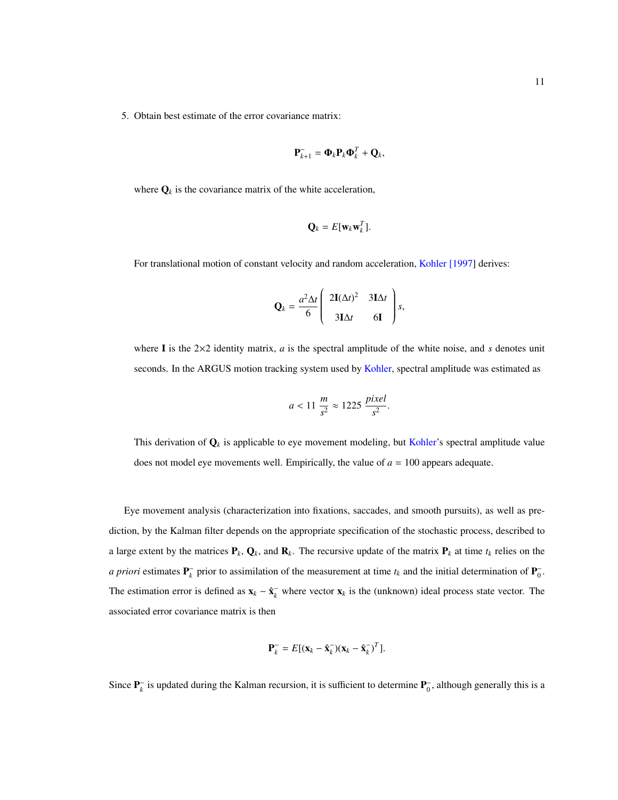5. Obtain best estimate of the error covariance matrix:

$$
\mathbf{P}_{k+1}^- = \mathbf{\Phi}_k \mathbf{P}_k \mathbf{\Phi}_k^T + \mathbf{Q}_k,
$$

where  $\mathbf{Q}_k$  is the covariance matrix of the white acceleration,

$$
\mathbf{Q}_k = E[\mathbf{w}_k \mathbf{w}_k^T].
$$

For translational motion of constant velocity and random acceleration, [Kohler \[1997\]](#page-24-8) derives:

$$
\mathbf{Q}_k = \frac{a^2 \Delta t}{6} \begin{pmatrix} 2\mathbf{I}(\Delta t)^2 & 3\mathbf{I} \Delta t \\ 3\mathbf{I} \Delta t & 6\mathbf{I} \end{pmatrix} s,
$$

where I is the  $2\times2$  identity matrix, *a* is the spectral amplitude of the white noise, and *s* denotes unit seconds. In the ARGUS motion tracking system used by [Kohler,](#page-24-8) spectral amplitude was estimated as

$$
a < 11 \frac{m}{s^2} \approx 1225 \frac{pixel}{s^2}.
$$

This derivation of  $\mathbf{Q}_k$  is applicable to eye movement modeling, but [Kohler'](#page-24-8)s spectral amplitude value does not model eye movements well. Empirically, the value of *a* = 100 appears adequate.

Eye movement analysis (characterization into fixations, saccades, and smooth pursuits), as well as prediction, by the Kalman filter depends on the appropriate specification of the stochastic process, described to a large extent by the matrices  $P_k$ ,  $Q_k$ , and  $R_k$ . The recursive update of the matrix  $P_k$  at time  $t_k$  relies on the *a priori* estimates  $P_k^-$  prior to assimilation of the measurement at time  $t_k$  and the initial determination of  $P_0^-$ . The estimation error is defined as  $x_k - \hat{x}_k^-$  where vector  $x_k$  is the (unknown) ideal process state vector. The associated error covariance matrix is then

$$
\mathbf{P}_k^- = E[(\mathbf{x}_k - \hat{\mathbf{x}}_k^-)(\mathbf{x}_k - \hat{\mathbf{x}}_k^-)^T].
$$

Since  $P_k^-$  is updated during the Kalman recursion, it is sufficient to determine  $P_0^-$ , although generally this is a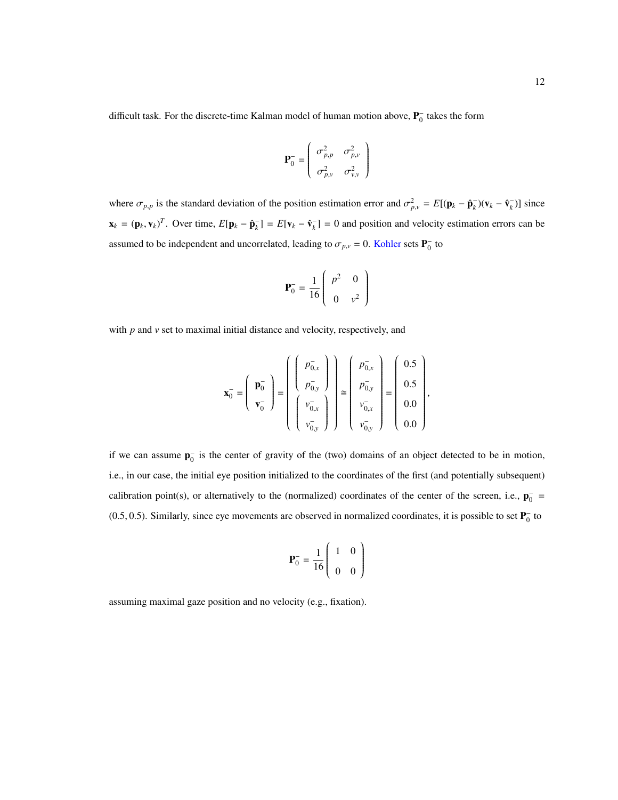difficult task. For the discrete-time Kalman model of human motion above,  $\mathbf{P}_0^-$  takes the form

$$
\mathbf{P}_{0}^{-} = \begin{pmatrix} \sigma_{p,p}^{2} & \sigma_{p,v}^{2} \\ \sigma_{p,v}^{2} & \sigma_{v,v}^{2} \end{pmatrix}
$$

where  $\sigma_{p,p}$  is the standard deviation of the position estimation error and  $\sigma_{p,\nu}^2 = E[(\mathbf{p}_k - \hat{\mathbf{p}}_k^{\top})(\mathbf{v}_k - \hat{\mathbf{v}}_k^{\top})]$  since  $\mathbf{x}_k = (\mathbf{p}_k, \mathbf{v}_k)^T$ . Over time,  $E[\mathbf{p}_k - \hat{\mathbf{p}}_k] = E[\mathbf{v}_k - \hat{\mathbf{v}}_k] = 0$  and position and velocity estimation errors can be assumed to be independent and uncorrelated, leading to  $\sigma_{p,v} = 0$ . [Kohler](#page-24-8) sets  $P_0^-$  to

$$
\mathbf{P}_0^- = \frac{1}{16} \begin{pmatrix} p^2 & 0 \\ 0 & v^2 \end{pmatrix}
$$

with *p* and *v* set to maximal initial distance and velocity, respectively, and

$$
\mathbf{x}_{0}^{-} = \begin{pmatrix} \mathbf{p}_{0}^{-} \\ \mathbf{v}_{0}^{-} \end{pmatrix} = \begin{pmatrix} p_{0,x}^{-} \\ p_{0,y}^{-} \\ \begin{pmatrix} v_{0,x}^{-} \\ v_{0,y}^{-} \end{pmatrix} \end{pmatrix} \cong \begin{pmatrix} p_{0,x}^{-} \\ p_{0,y}^{-} \\ v_{0,x}^{-} \\ v_{0,y}^{-} \end{pmatrix} = \begin{pmatrix} 0.5 \\ 0.5 \\ 0.0 \\ 0.0 \end{pmatrix},
$$

if we can assume  $p_0^-$  is the center of gravity of the (two) domains of an object detected to be in motion, i.e., in our case, the initial eye position initialized to the coordinates of the first (and potentially subsequent) calibration point(s), or alternatively to the (normalized) coordinates of the center of the screen, i.e.,  $\mathbf{p}_0^-$  = (0.5, 0.5). Similarly, since eye movements are observed in normalized coordinates, it is possible to set  $P_0^-$  to

$$
\mathbf{P}_0^- = \frac{1}{16} \begin{pmatrix} 1 & 0 \\ 0 & 0 \end{pmatrix}
$$

assuming maximal gaze position and no velocity (e.g., fixation).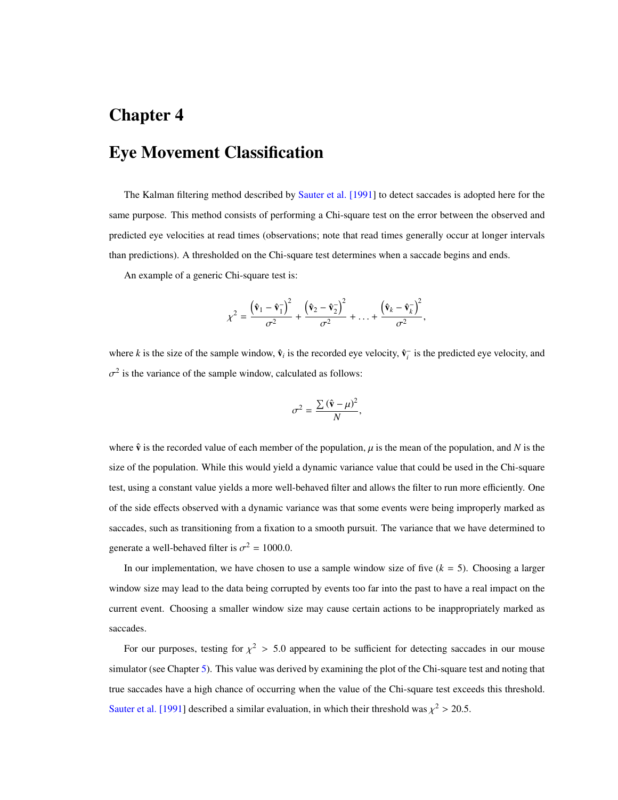# <span id="page-18-0"></span>Chapter 4 Eye Movement Classification

The Kalman filtering method described by [Sauter et al. \[1991\]](#page-24-7) to detect saccades is adopted here for the same purpose. This method consists of performing a Chi-square test on the error between the observed and predicted eye velocities at read times (observations; note that read times generally occur at longer intervals than predictions). A thresholded on the Chi-square test determines when a saccade begins and ends.

An example of a generic Chi-square test is:

$$
\chi^2 = \frac{\left(\hat{\mathbf{v}}_1 - \hat{\mathbf{v}}_1^-\right)^2}{\sigma^2} + \frac{\left(\hat{\mathbf{v}}_2 - \hat{\mathbf{v}}_2^-\right)^2}{\sigma^2} + \ldots + \frac{\left(\hat{\mathbf{v}}_k - \hat{\mathbf{v}}_k^-\right)^2}{\sigma^2},
$$

where *k* is the size of the sample window,  $\hat{v}_i$  is the recorded eye velocity,  $\hat{v}_i^-$  is the predicted eye velocity, and  $2$  is the variance of the sample window, calculated as follows:

$$
\sigma^2 = \frac{\sum (\hat{\mathbf{v}} - \mu)^2}{N},
$$

where  $\hat{\bf v}$  is the recorded value of each member of the population,  $\mu$  is the mean of the population, and *N* is the size of the population. While this would yield a dynamic variance value that could be used in the Chi-square test, using a constant value yields a more well-behaved filter and allows the filter to run more efficiently. One of the side effects observed with a dynamic variance was that some events were being improperly marked as saccades, such as transitioning from a fixation to a smooth pursuit. The variance that we have determined to generate a well-behaved filter is  $\sigma^2 = 1000.0$ .

In our implementation, we have chosen to use a sample window size of five  $(k = 5)$ . Choosing a larger window size may lead to the data being corrupted by events too far into the past to have a real impact on the current event. Choosing a smaller window size may cause certain actions to be inappropriately marked as saccades.

For our purposes, testing for  $\chi^2 > 5.0$  appeared to be sufficient for detecting saccades in our mouse simulator (see Chapter [5\)](#page-20-0). This value was derived by examining the plot of the Chi-square test and noting that true saccades have a high chance of occurring when the value of the Chi-square test exceeds this threshold. [Sauter et al. \[1991\]](#page-24-7) described a similar evaluation, in which their threshold was  $\chi^2 > 20.5$ .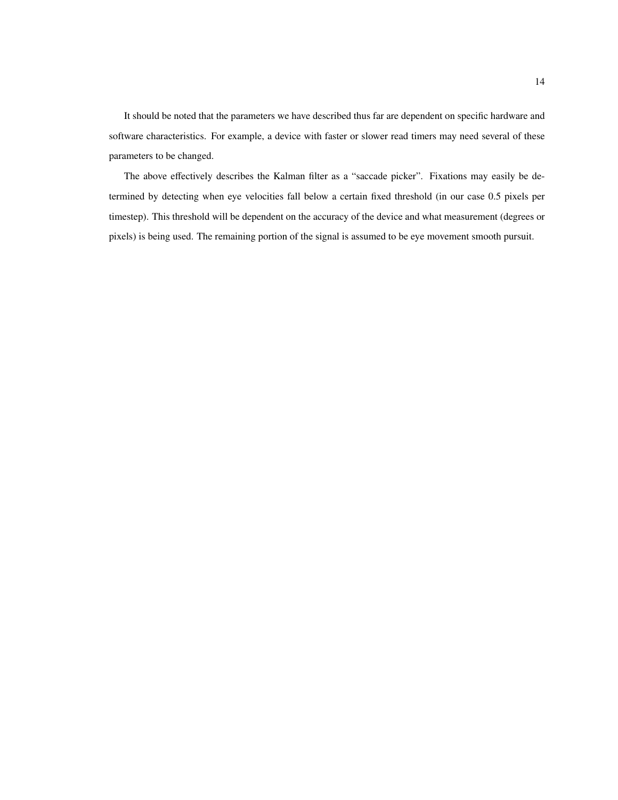It should be noted that the parameters we have described thus far are dependent on specific hardware and software characteristics. For example, a device with faster or slower read timers may need several of these parameters to be changed.

The above effectively describes the Kalman filter as a "saccade picker". Fixations may easily be determined by detecting when eye velocities fall below a certain fixed threshold (in our case 0.5 pixels per timestep). This threshold will be dependent on the accuracy of the device and what measurement (degrees or pixels) is being used. The remaining portion of the signal is assumed to be eye movement smooth pursuit.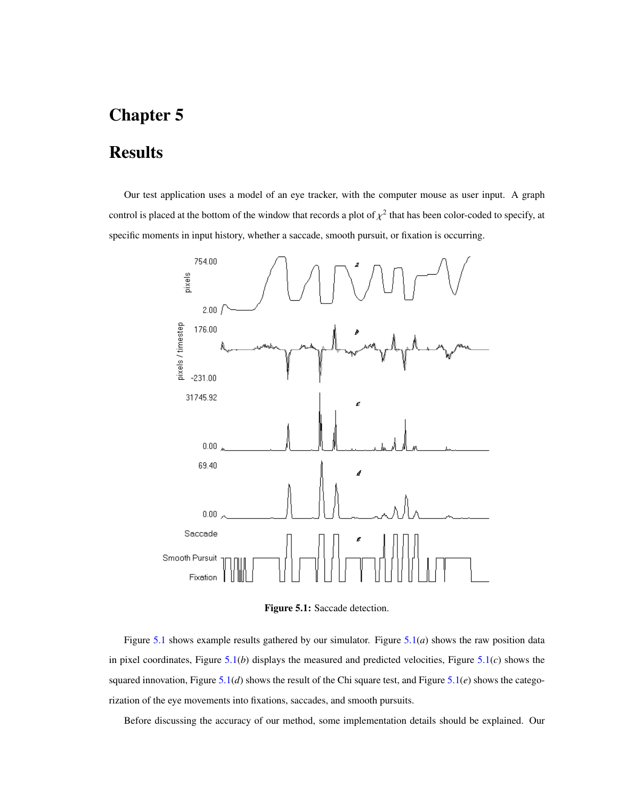#### <span id="page-20-0"></span>**Results**

Our test application uses a model of an eye tracker, with the computer mouse as user input. A graph control is placed at the bottom of the window that records a plot of  $\chi^2$  that has been color-coded to specify, at specific moments in input history, whether a saccade, smooth pursuit, or fixation is occurring.



<span id="page-20-1"></span>Figure 5.1: Saccade detection.

Figure [5.1](#page-20-1) shows example results gathered by our simulator. Figure [5.1\(](#page-20-1)*a*) shows the raw position data in pixel coordinates, Figure [5.1\(](#page-20-1)*b*) displays the measured and predicted velocities, Figure [5.1\(](#page-20-1)*c*) shows the squared innovation, Figure [5.1\(](#page-20-1)*d*) shows the result of the Chi square test, and Figure [5.1\(](#page-20-1)*e*) shows the categorization of the eye movements into fixations, saccades, and smooth pursuits.

Before discussing the accuracy of our method, some implementation details should be explained. Our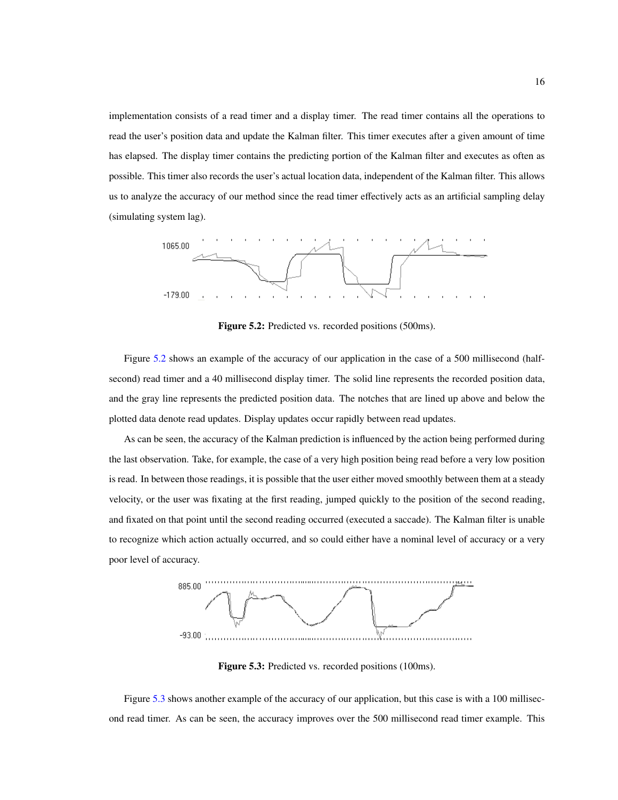implementation consists of a read timer and a display timer. The read timer contains all the operations to read the user's position data and update the Kalman filter. This timer executes after a given amount of time has elapsed. The display timer contains the predicting portion of the Kalman filter and executes as often as possible. This timer also records the user's actual location data, independent of the Kalman filter. This allows us to analyze the accuracy of our method since the read timer effectively acts as an artificial sampling delay (simulating system lag).



<span id="page-21-0"></span>Figure 5.2: Predicted vs. recorded positions (500ms).

Figure [5.2](#page-21-0) shows an example of the accuracy of our application in the case of a 500 millisecond (halfsecond) read timer and a 40 millisecond display timer. The solid line represents the recorded position data, and the gray line represents the predicted position data. The notches that are lined up above and below the plotted data denote read updates. Display updates occur rapidly between read updates.

As can be seen, the accuracy of the Kalman prediction is influenced by the action being performed during the last observation. Take, for example, the case of a very high position being read before a very low position is read. In between those readings, it is possible that the user either moved smoothly between them at a steady velocity, or the user was fixating at the first reading, jumped quickly to the position of the second reading, and fixated on that point until the second reading occurred (executed a saccade). The Kalman filter is unable to recognize which action actually occurred, and so could either have a nominal level of accuracy or a very poor level of accuracy.



<span id="page-21-1"></span>Figure 5.3: Predicted vs. recorded positions (100ms).

Figure [5.3](#page-21-1) shows another example of the accuracy of our application, but this case is with a 100 millisecond read timer. As can be seen, the accuracy improves over the 500 millisecond read timer example. This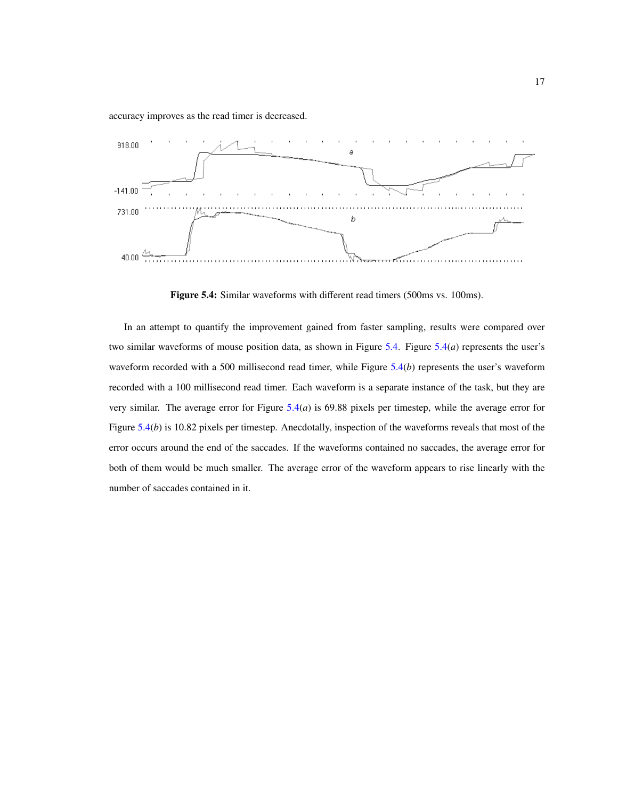accuracy improves as the read timer is decreased.



<span id="page-22-0"></span>Figure 5.4: Similar waveforms with different read timers (500ms vs. 100ms).

In an attempt to quantify the improvement gained from faster sampling, results were compared over two similar waveforms of mouse position data, as shown in Figure [5.4.](#page-22-0) Figure [5.4\(](#page-22-0)*a*) represents the user's waveform recorded with a 500 millisecond read timer, while Figure [5.4\(](#page-22-0)*b*) represents the user's waveform recorded with a 100 millisecond read timer. Each waveform is a separate instance of the task, but they are very similar. The average error for Figure [5.4\(](#page-22-0)*a*) is 69.88 pixels per timestep, while the average error for Figure [5.4\(](#page-22-0)*b*) is 10.82 pixels per timestep. Anecdotally, inspection of the waveforms reveals that most of the error occurs around the end of the saccades. If the waveforms contained no saccades, the average error for both of them would be much smaller. The average error of the waveform appears to rise linearly with the number of saccades contained in it.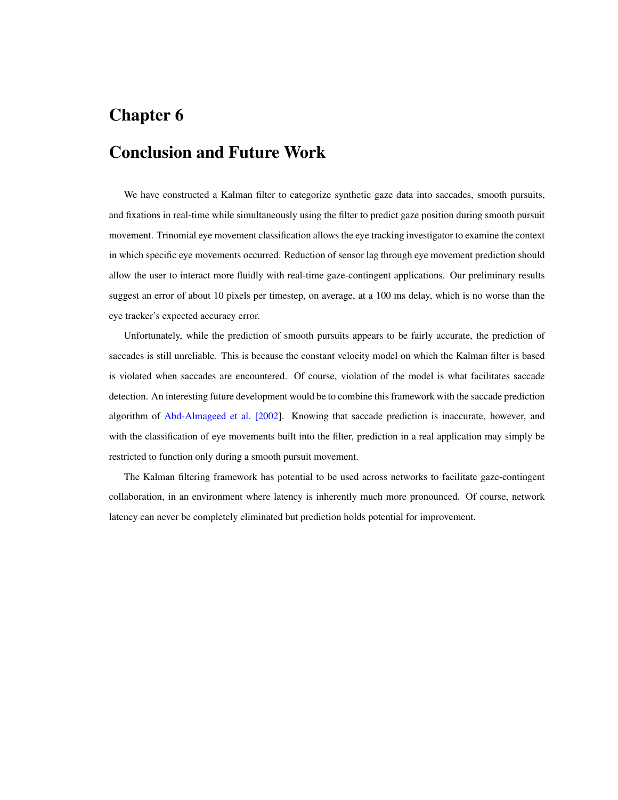# <span id="page-23-0"></span>Conclusion and Future Work

We have constructed a Kalman filter to categorize synthetic gaze data into saccades, smooth pursuits, and fixations in real-time while simultaneously using the filter to predict gaze position during smooth pursuit movement. Trinomial eye movement classification allows the eye tracking investigator to examine the context in which specific eye movements occurred. Reduction of sensor lag through eye movement prediction should allow the user to interact more fluidly with real-time gaze-contingent applications. Our preliminary results suggest an error of about 10 pixels per timestep, on average, at a 100 ms delay, which is no worse than the eye tracker's expected accuracy error.

Unfortunately, while the prediction of smooth pursuits appears to be fairly accurate, the prediction of saccades is still unreliable. This is because the constant velocity model on which the Kalman filter is based is violated when saccades are encountered. Of course, violation of the model is what facilitates saccade detection. An interesting future development would be to combine this framework with the saccade prediction algorithm of [Abd-Almageed et al. \[2002\]](#page-24-9). Knowing that saccade prediction is inaccurate, however, and with the classification of eye movements built into the filter, prediction in a real application may simply be restricted to function only during a smooth pursuit movement.

The Kalman filtering framework has potential to be used across networks to facilitate gaze-contingent collaboration, in an environment where latency is inherently much more pronounced. Of course, network latency can never be completely eliminated but prediction holds potential for improvement.